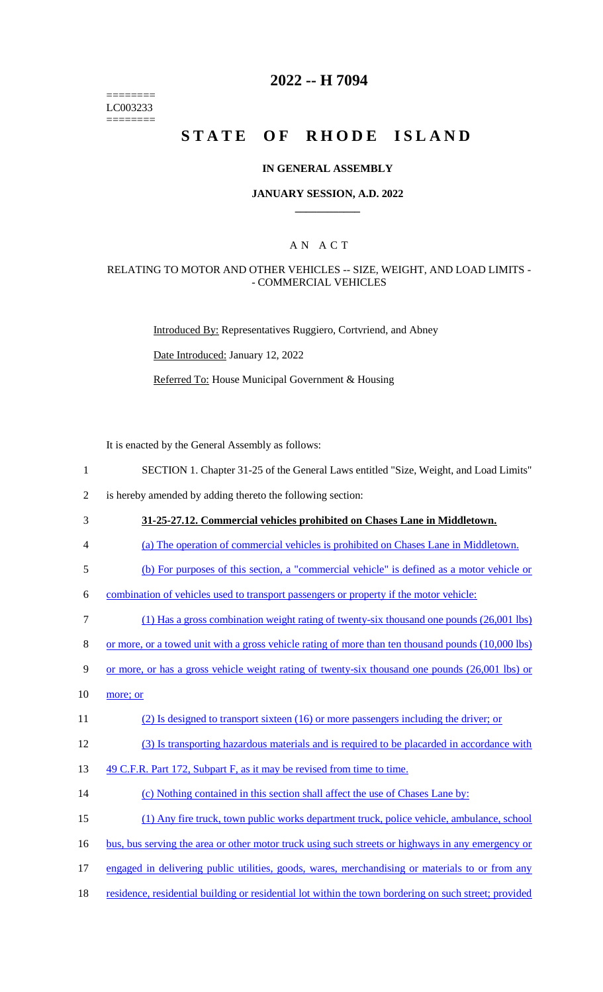======== LC003233 ========

### **2022 -- H 7094**

# **STATE OF RHODE ISLAND**

#### **IN GENERAL ASSEMBLY**

#### **JANUARY SESSION, A.D. 2022 \_\_\_\_\_\_\_\_\_\_\_\_**

### A N A C T

#### RELATING TO MOTOR AND OTHER VEHICLES -- SIZE, WEIGHT, AND LOAD LIMITS - - COMMERCIAL VEHICLES

Introduced By: Representatives Ruggiero, Cortvriend, and Abney

Date Introduced: January 12, 2022

Referred To: House Municipal Government & Housing

It is enacted by the General Assembly as follows:

1 SECTION 1. Chapter 31-25 of the General Laws entitled "Size, Weight, and Load Limits"

2 is hereby amended by adding thereto the following section:

- 3 **31-25-27.12. Commercial vehicles prohibited on Chases Lane in Middletown.**
- 4 (a) The operation of commercial vehicles is prohibited on Chases Lane in Middletown.
- 5 (b) For purposes of this section, a "commercial vehicle" is defined as a motor vehicle or

6 combination of vehicles used to transport passengers or property if the motor vehicle:

- 7 (1) Has a gross combination weight rating of twenty-six thousand one pounds (26,001 lbs)
- 8 or more, or a towed unit with a gross vehicle rating of more than ten thousand pounds (10,000 lbs)
- 9 or more, or has a gross vehicle weight rating of twenty-six thousand one pounds (26,001 lbs) or
- $10$  more; or
- 11 (2) Is designed to transport sixteen (16) or more passengers including the driver; or
- 12 (3) Is transporting hazardous materials and is required to be placarded in accordance with

13 49 C.F.R. Part 172, Subpart F, as it may be revised from time to time.

14 (c) Nothing contained in this section shall affect the use of Chases Lane by:

15 (1) Any fire truck, town public works department truck, police vehicle, ambulance, school

- 16 bus, bus serving the area or other motor truck using such streets or highways in any emergency or
- 17 engaged in delivering public utilities, goods, wares, merchandising or materials to or from any
- 18 residence, residential building or residential lot within the town bordering on such street; provided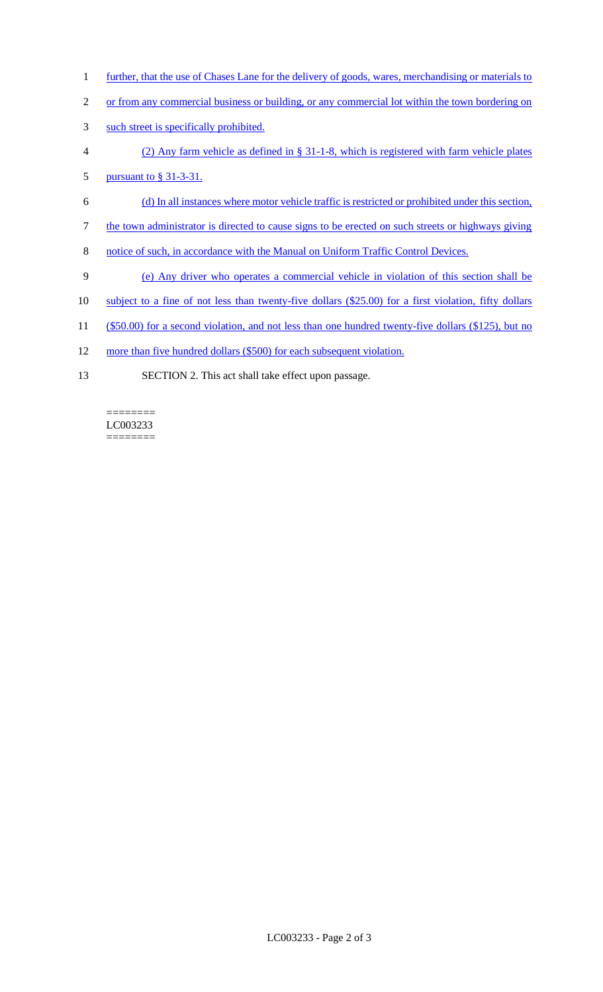- 1 further, that the use of Chases Lane for the delivery of goods, wares, merchandising or materials to
- 2 or from any commercial business or building, or any commercial lot within the town bordering on
- 3 such street is specifically prohibited.
- 4 (2) Any farm vehicle as defined in § 31-1-8, which is registered with farm vehicle plates
- 5 <u>pursuant to § 31-3-31.</u>
- 6 (d) In all instances where motor vehicle traffic is restricted or prohibited under this section,
- 7 the town administrator is directed to cause signs to be erected on such streets or highways giving
- 8 notice of such, in accordance with the Manual on Uniform Traffic Control Devices.
- 9 (e) Any driver who operates a commercial vehicle in violation of this section shall be
- 10 subject to a fine of not less than twenty-five dollars (\$25.00) for a first violation, fifty dollars
- 11 (\$50.00) for a second violation, and not less than one hundred twenty-five dollars (\$125), but no
- 12 more than five hundred dollars (\$500) for each subsequent violation.
- 13 SECTION 2. This act shall take effect upon passage.

#### LC003233  $=$

 $=$